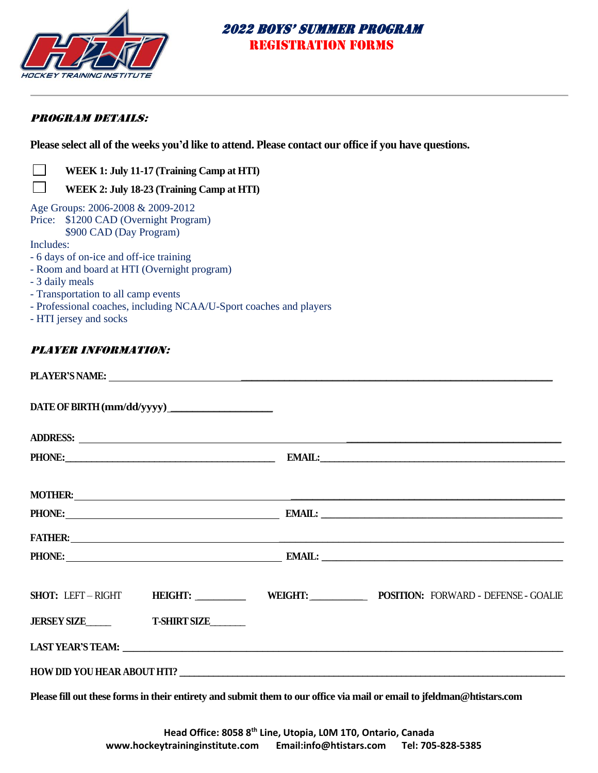

### PROGRAM DETAILS:

**Please select all of the weeks you'd like to attend. Please contact our office if you have questions.** 

|                                                                                                                                                                                                                                                                                                                                | WEEK 1: July 11-17 (Training Camp at HTI)                          |                |                                                                                                                                                                                                                                    |
|--------------------------------------------------------------------------------------------------------------------------------------------------------------------------------------------------------------------------------------------------------------------------------------------------------------------------------|--------------------------------------------------------------------|----------------|------------------------------------------------------------------------------------------------------------------------------------------------------------------------------------------------------------------------------------|
|                                                                                                                                                                                                                                                                                                                                | WEEK 2: July 18-23 (Training Camp at HTI)                          |                |                                                                                                                                                                                                                                    |
| Age Groups: 2006-2008 & 2009-2012<br>Price: \$1200 CAD (Overnight Program)<br>\$900 CAD (Day Program)<br>Includes:<br>- 6 days of on-ice and off-ice training<br>- Room and board at HTI (Overnight program)<br>- 3 daily meals<br>- Transportation to all camp events<br>- HTI jersey and socks<br><b>PLAYER INFORMATION:</b> | - Professional coaches, including NCAA/U-Sport coaches and players |                |                                                                                                                                                                                                                                    |
|                                                                                                                                                                                                                                                                                                                                |                                                                    |                |                                                                                                                                                                                                                                    |
|                                                                                                                                                                                                                                                                                                                                |                                                                    |                |                                                                                                                                                                                                                                    |
|                                                                                                                                                                                                                                                                                                                                |                                                                    |                |                                                                                                                                                                                                                                    |
|                                                                                                                                                                                                                                                                                                                                |                                                                    |                |                                                                                                                                                                                                                                    |
|                                                                                                                                                                                                                                                                                                                                |                                                                    |                | <b>FATHER:</b> The contract of the contract of the contract of the contract of the contract of the contract of the contract of the contract of the contract of the contract of the contract of the contract of the contract of the |
|                                                                                                                                                                                                                                                                                                                                |                                                                    |                |                                                                                                                                                                                                                                    |
| <b>SHOT: LEFT-RIGHT</b>                                                                                                                                                                                                                                                                                                        | <b>HEIGHT:</b>                                                     | <b>WEIGHT:</b> | <b>POSITION: FORWARD - DEFENSE - GOALIE</b>                                                                                                                                                                                        |
|                                                                                                                                                                                                                                                                                                                                |                                                                    |                |                                                                                                                                                                                                                                    |
|                                                                                                                                                                                                                                                                                                                                |                                                                    |                |                                                                                                                                                                                                                                    |
|                                                                                                                                                                                                                                                                                                                                |                                                                    |                |                                                                                                                                                                                                                                    |

**Please fill out these forms in their entirety and submit them to our office via mail or email to jfeldman@htistars.com**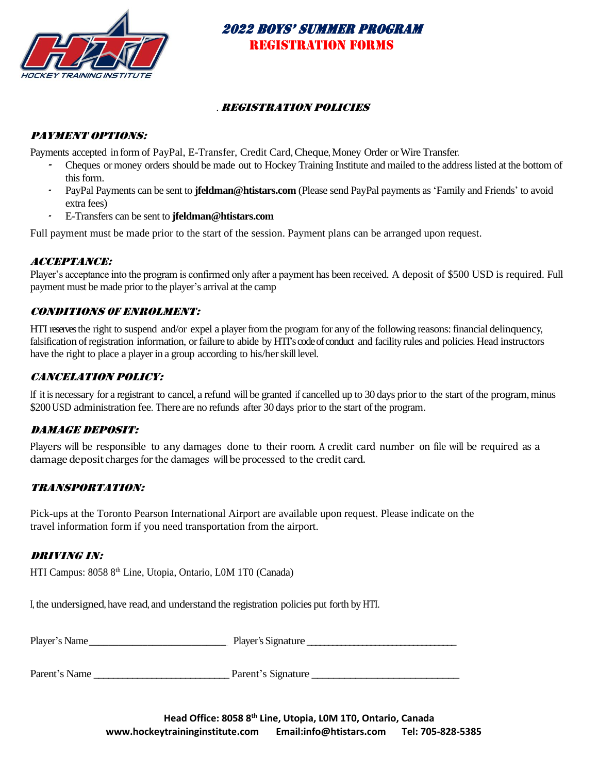

### . Registration Policies

### PAYMENT OPTIONS:

Payments accepted in form of PayPal, E-Transfer, Credit Card, Cheque, Money Order or Wire Transfer.

- Cheques or money orders should be made out to Hockey Training Institute and mailed to the address listed at the bottom of this form.
- PayPal Payments can be sent to **jfeldman@htistars.com** (Please send PayPal payments as 'Family and Friends' to avoid extra fees)
- E-Transfers can be sent to **jfeldman@htistars.com**

Full payment must be made prior to the start of the session. Payment plans can be arranged upon request.

### Acceptance:

Player's acceptance into the program is confirmed only after a payment has been received. A deposit of \$500 USD is required. Full payment must be made prior to the player's arrival at the camp

### Conditions of Enrolment:

HTI reservesthe right to suspend and/or expel a player fromthe program for any of the following reasons:financial delinquency, falsification of registration information, or failure to abide by HTI's code of conduct and facility rules and policies. Head instructors have the right to place a player in a group according to his/her skill level.

### Cancelation Policy:

If it is necessary for a registrant to cancel, a refund will be granted if cancelled up to 30 days prior to the start of the program, minus \$200 USD administration fee. There are no refunds after 30 days prior to the start of the program.

#### Damage Deposit:

Players will be responsible to any damages done to their room. A credit card number on file will be required as a damage deposit charges for the damages will be processed to the credit card.

### Transportation:

Pick-ups at the Toronto Pearson International Airport are available upon request. Please indicate on the travel information form if you need transportation from the airport.

### Driving in:

HTI Campus: 8058 8th Line, Utopia, Ontario, L0M 1T0 (Canada)

I, the undersigned, have read, and understand the registration policies put forth by HTI.

| Player's Name<br>Player's | . Signature |
|---------------------------|-------------|
|---------------------------|-------------|

Parent's Name \_\_\_\_\_\_\_\_\_\_\_\_\_\_\_\_\_\_\_\_\_\_\_\_\_\_\_\_ Parent's Signature \_\_\_\_\_\_\_\_\_\_\_\_\_\_\_\_\_\_\_\_\_\_\_\_\_\_\_

**Head Office: 8058 8th Line, Utopia, L0M 1T0, Ontario, Canada www.hockeytraininginstitute.com Email:info@htistars.com Tel: 705-828-5385**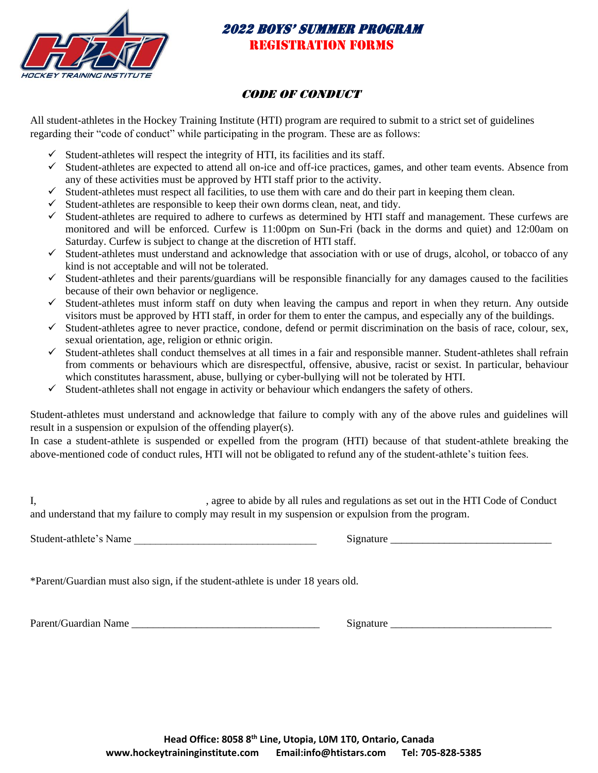

## **CODE OF CONDUCT**

All student-athletes in the Hockey Training Institute (HTI) program are required to submit to a strict set of guidelines regarding their "code of conduct" while participating in the program. These are as follows:

- $\checkmark$  Student-athletes will respect the integrity of HTI, its facilities and its staff.
- $\checkmark$  Student-athletes are expected to attend all on-ice and off-ice practices, games, and other team events. Absence from any of these activities must be approved by HTI staff prior to the activity.
- $\checkmark$  Student-athletes must respect all facilities, to use them with care and do their part in keeping them clean.
- $\checkmark$  Student-athletes are responsible to keep their own dorms clean, neat, and tidy.
- $\checkmark$  Student-athletes are required to adhere to curfews as determined by HTI staff and management. These curfews are monitored and will be enforced. Curfew is 11:00pm on Sun-Fri (back in the dorms and quiet) and 12:00am on Saturday. Curfew is subject to change at the discretion of HTI staff.
- ✓ Student-athletes must understand and acknowledge that association with or use of drugs, alcohol, or tobacco of any kind is not acceptable and will not be tolerated.
- $\checkmark$  Student-athletes and their parents/guardians will be responsible financially for any damages caused to the facilities because of their own behavior or negligence.
- $\checkmark$  Student-athletes must inform staff on duty when leaving the campus and report in when they return. Any outside visitors must be approved by HTI staff, in order for them to enter the campus, and especially any of the buildings.
- $\checkmark$  Student-athletes agree to never practice, condone, defend or permit discrimination on the basis of race, colour, sex, sexual orientation, age, religion or ethnic origin.
- $\checkmark$  Student-athletes shall conduct themselves at all times in a fair and responsible manner. Student-athletes shall refrain from comments or behaviours which are disrespectful, offensive, abusive, racist or sexist. In particular, behaviour which constitutes harassment, abuse, bullying or cyber-bullying will not be tolerated by HTI.
- $\checkmark$  Student-athletes shall not engage in activity or behaviour which endangers the safety of others.

Student-athletes must understand and acknowledge that failure to comply with any of the above rules and guidelines will result in a suspension or expulsion of the offending player(s).

In case a student-athlete is suspended or expelled from the program (HTI) because of that student-athlete breaking the above-mentioned code of conduct rules, HTI will not be obligated to refund any of the student-athlete's tuition fees.

I, sagree to abide by all rules and regulations as set out in the HTI Code of Conduct and understand that my failure to comply may result in my suspension or expulsion from the program.

Student-athlete's Name and the student-athlete's Name and the student-athlete's Name and the student-

\*Parent/Guardian must also sign, if the student-athlete is under 18 years old.

Parent/Guardian Name \_\_\_\_\_\_\_\_\_\_\_\_\_\_\_\_\_\_\_\_\_\_\_\_\_\_\_\_\_\_\_\_\_\_\_ Signature \_\_\_\_\_\_\_\_\_\_\_\_\_\_\_\_\_\_\_\_\_\_\_\_\_\_\_\_\_\_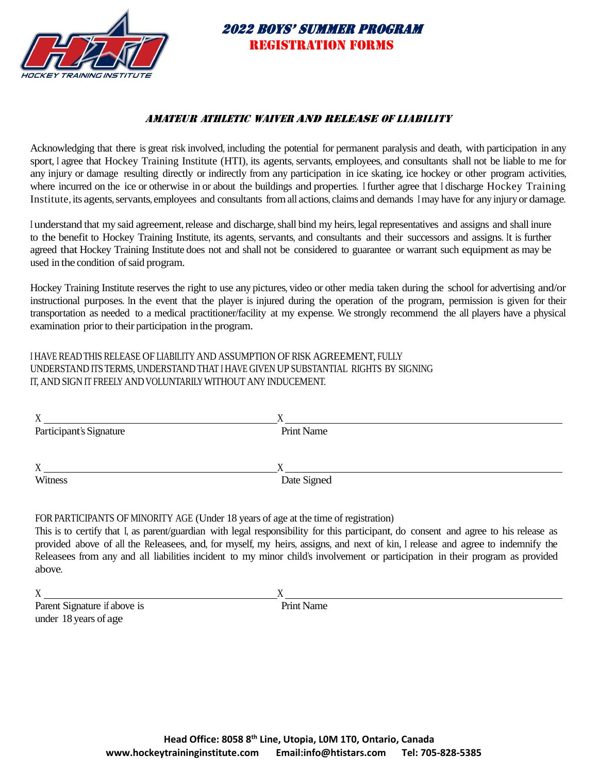

## AMATEUR ATHLETIC WAIVER AND RELEASE OF LIABILITY

Acknowledging that there is great risk involved, including the potential for permanent paralysis and death, with participation in any sport, <sup>I</sup> agree that Hockey Training Institute (HTI), its agents, servants, employees, and consultants shall not be liable to me for any injury or damage resulting directly or indirectly from any participation in ice skating, ice hockey or other program activities, where incurred on the ice or otherwise in or about the buildings and properties. <sup>I</sup> further agree that <sup>I</sup> discharge Hockey Training Institute, its agents, servants, employees and consultants from all actions, claims and demands I may have for any injury or damage.

I understand that my said agreement, release and discharge, shall bind my heirs, legal representatives and assigns and shall inure to the benefit to Hockey Training Institute, its agents, servants, and consultants and their successors and assigns. It is further agreed that Hockey Training Institute does not and shall not be considered to guarantee or warrant such equipment as may be used in the condition of said program.

Hockey Training Institute reserves the right to use any pictures, video or other media taken during the school for advertising and/or instructional purposes. In the event that the player is injured during the operation of the program, permission is given for their transportation as needed to a medical practitioner/facility at my expense. We strongly recommend the all players have a physical examination prior to their participation in the program.

I HAVE READTHIS RELEASE OF LIABILITY AND ASSUMPTION OF RISK AGREEMENT, FULLY UNDERSTAND ITSTERMS, UNDERSTANDTHAT I HAVE GIVEN UP SUBSTANTIAL RIGHTS BY SIGNING IT, AND SIGN IT FREELY AND VOLUNTARILY WITHOUT ANY INDUCEMENT.

| $\mathbf{v}$<br>Λ       |             |
|-------------------------|-------------|
| Participant's Signature | Print Name  |
|                         |             |
| X                       |             |
| Witness                 | Date Signed |
|                         |             |

FOR PARTICIPANTS OF MINORITY AGE (Under 18 years of age at the time of registration)

This is to certify that I, as parent/guardian with legal responsibility for this participant, do consent and agree to his release as provided above of all the Releasees, and, for myself, my heirs, assigns, and next of kin, <sup>I</sup> release and agree to indemnify the Releasees from any and all liabilities incident to my minor child's involvement or participation in their program as provided above.

 $X \sim X$ 

Parent Signature if above is Print Name under 18 years of age

**Head Office: 8058 8th Line, Utopia, L0M 1T0, Ontario, Canada www.hockeytraininginstitute.com Email:info@htistars.com Tel: 705-828-5385**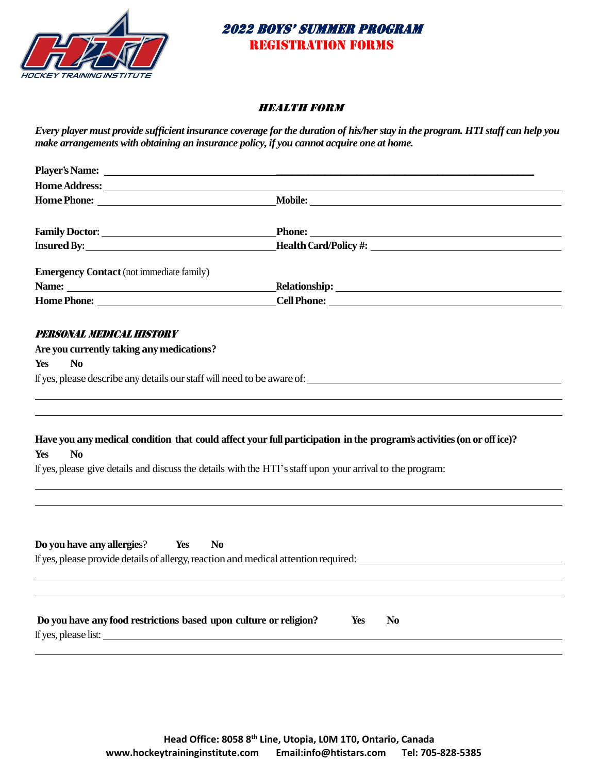

### Health Form

*Every player must provide sufficient insurance coverage for the duration of his/her stay in the program. HTI staff can help you make arrangements with obtaining an insurance policy, if you cannot acquire one at home.* 

|                                                                                                                                                                                                                                | Mobile:                                                                                                              |
|--------------------------------------------------------------------------------------------------------------------------------------------------------------------------------------------------------------------------------|----------------------------------------------------------------------------------------------------------------------|
|                                                                                                                                                                                                                                |                                                                                                                      |
| Insured By: The Contract of the Contract of the Contract of the Contract of the Contract of the Contract of the Contract of the Contract of the Contract of the Contract of the Contract of the Contract of the Contract of th | Phone:<br><b>Health Card/Policy #:</b> New York 2014                                                                 |
| <b>Emergency Contact</b> (not immediate family)                                                                                                                                                                                |                                                                                                                      |
|                                                                                                                                                                                                                                |                                                                                                                      |
| Home Phone: New York Street, New York Street, New York Street, New York Street, New York Street, New York Street, New York Street, New York Street, New York Street, New York Street, New York Street, New York Street, New Yo | <b>Cell Phone:</b>                                                                                                   |
| PERSONAL MEDICAL HISTORY                                                                                                                                                                                                       |                                                                                                                      |
| Are you currently taking any medications?                                                                                                                                                                                      |                                                                                                                      |
| N <sub>0</sub><br><b>Yes</b>                                                                                                                                                                                                   |                                                                                                                      |
|                                                                                                                                                                                                                                | If yes, please describe any details our staff will need to be aware of:                                              |
|                                                                                                                                                                                                                                |                                                                                                                      |
| N <sub>0</sub><br>Yes                                                                                                                                                                                                          | Have you any medical condition that could affect your full participation in the program's activities (on or office)? |
|                                                                                                                                                                                                                                | If yes, please give details and discuss the details with the HTI's staff upon your arrival to the program:           |
|                                                                                                                                                                                                                                |                                                                                                                      |
|                                                                                                                                                                                                                                |                                                                                                                      |
| Do you have any allergies?<br>Yes                                                                                                                                                                                              | N <sub>0</sub><br>If yes, please provide details of allergy, reaction and medical attention required:                |
|                                                                                                                                                                                                                                |                                                                                                                      |
|                                                                                                                                                                                                                                |                                                                                                                      |
| Do you have any food restrictions based upon culture or religion?<br>If yes, please list:                                                                                                                                      | Yes<br>N <sub>0</sub>                                                                                                |
|                                                                                                                                                                                                                                |                                                                                                                      |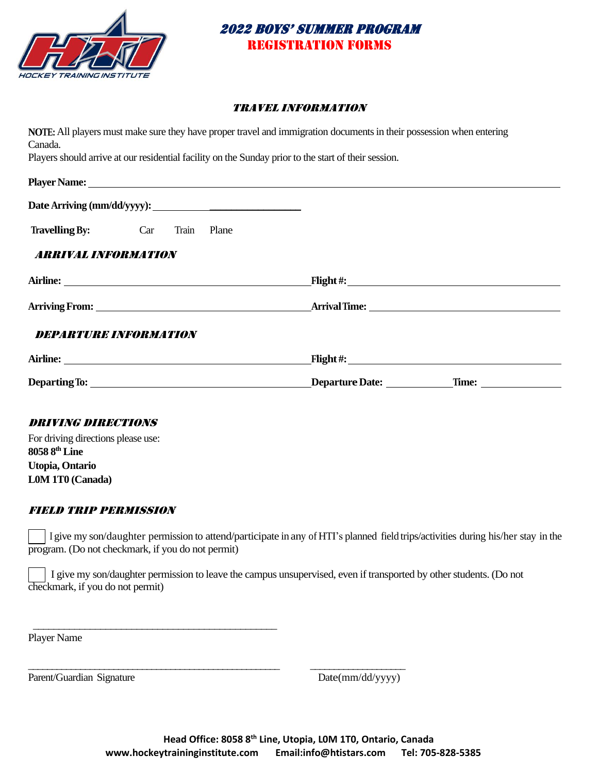

#### Travel Information

|                            |                                                                                                                                                                                                                                    | NOTE: All players must make sure they have proper travel and immigration documents in their possession when entering |
|----------------------------|------------------------------------------------------------------------------------------------------------------------------------------------------------------------------------------------------------------------------------|----------------------------------------------------------------------------------------------------------------------|
| Canada.                    |                                                                                                                                                                                                                                    |                                                                                                                      |
|                            | Players should arrive at our residential facility on the Sunday prior to the start of their session.                                                                                                                               |                                                                                                                      |
|                            |                                                                                                                                                                                                                                    |                                                                                                                      |
|                            |                                                                                                                                                                                                                                    |                                                                                                                      |
|                            | <b>Travelling By:</b> Car Train<br>Plane                                                                                                                                                                                           |                                                                                                                      |
| <b>ARRIVAL INFORMATION</b> |                                                                                                                                                                                                                                    |                                                                                                                      |
|                            | Airline: <u>Airline</u> and the state of the state of the state of the state of the state of the state of the state of the state of the state of the state of the state of the state of the state of the state of the state of the |                                                                                                                      |
|                            |                                                                                                                                                                                                                                    |                                                                                                                      |
|                            | <b>DEPARTURE INFORMATION</b>                                                                                                                                                                                                       |                                                                                                                      |
|                            |                                                                                                                                                                                                                                    |                                                                                                                      |
|                            |                                                                                                                                                                                                                                    |                                                                                                                      |
|                            |                                                                                                                                                                                                                                    |                                                                                                                      |

#### Driving directions

For driving directions please use: **8058 8th Line Utopia, Ontario L0M 1T0 (Canada)**

## Field trip permission

\_\_\_\_\_\_\_\_\_\_\_\_\_\_\_\_\_\_\_\_\_\_\_\_\_\_\_\_\_\_\_\_\_\_\_\_\_\_\_\_\_\_\_\_\_\_\_

\_\_\_\_\_\_\_\_\_\_\_\_\_\_\_\_\_\_\_\_\_\_\_\_\_\_\_\_\_\_\_\_\_\_\_\_\_\_\_\_\_\_\_\_\_\_\_\_\_\_\_\_\_ \_\_\_\_\_\_\_\_\_\_\_\_\_\_\_\_\_\_\_\_

 I give my son/daughter permission to attend/participate in any of HTI's planned field trips/activities during his/her stay in the program. (Do not checkmark, if you do not permit)

I give my son/daughter permission to leave the campus unsupervised, even if transported by other students. (Do not checkmark, if you do not permit)

Player Name

Parent/Guardian Signature Date(mm/dd/yyyy)